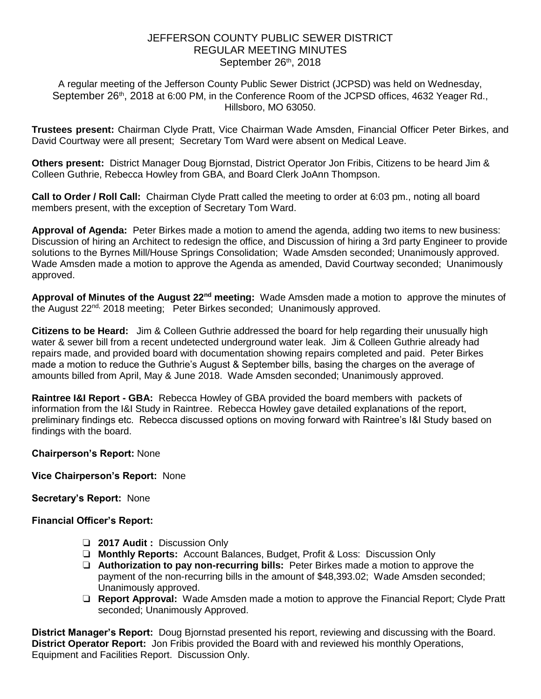# JEFFERSON COUNTY PUBLIC SEWER DISTRICT REGULAR MEETING MINUTES September 26th, 2018

A regular meeting of the Jefferson County Public Sewer District (JCPSD) was held on Wednesday, September 26<sup>th</sup>, 2018 at 6:00 PM, in the Conference Room of the JCPSD offices, 4632 Yeager Rd., Hillsboro, MO 63050.

**Trustees present:** Chairman Clyde Pratt, Vice Chairman Wade Amsden, Financial Officer Peter Birkes, and David Courtway were all present; Secretary Tom Ward were absent on Medical Leave.

**Others present:** District Manager Doug Bjornstad, District Operator Jon Fribis, Citizens to be heard Jim & Colleen Guthrie, Rebecca Howley from GBA, and Board Clerk JoAnn Thompson.

**Call to Order / Roll Call:** Chairman Clyde Pratt called the meeting to order at 6:03 pm., noting all board members present, with the exception of Secretary Tom Ward.

**Approval of Agenda:** Peter Birkes made a motion to amend the agenda, adding two items to new business: Discussion of hiring an Architect to redesign the office, and Discussion of hiring a 3rd party Engineer to provide solutions to the Byrnes Mill/House Springs Consolidation; Wade Amsden seconded; Unanimously approved. Wade Amsden made a motion to approve the Agenda as amended, David Courtway seconded; Unanimously approved.

**Approval of Minutes of the August 22nd meeting:** Wade Amsden made a motion to approve the minutes of the August 22<sup>nd,</sup> 2018 meeting; Peter Birkes seconded; Unanimously approved.

**Citizens to be Heard:** Jim & Colleen Guthrie addressed the board for help regarding their unusually high water & sewer bill from a recent undetected underground water leak. Jim & Colleen Guthrie already had repairs made, and provided board with documentation showing repairs completed and paid. Peter Birkes made a motion to reduce the Guthrie's August & September bills, basing the charges on the average of amounts billed from April, May & June 2018. Wade Amsden seconded; Unanimously approved.

**Raintree I&I Report - GBA:** Rebecca Howley of GBA provided the board members with packets of information from the I&I Study in Raintree. Rebecca Howley gave detailed explanations of the report, preliminary findings etc. Rebecca discussed options on moving forward with Raintree's I&I Study based on findings with the board.

## **Chairperson's Report:** None

**Vice Chairperson's Report:** None

**Secretary's Report:** None

## **Financial Officer's Report:**

- ❏ **2017 Audit :** Discussion Only
- ❏ **Monthly Reports:** Account Balances, Budget, Profit & Loss: Discussion Only
- ❏ **Authorization to pay non-recurring bills:** Peter Birkes made a motion to approve the payment of the non-recurring bills in the amount of \$48,393.02; Wade Amsden seconded; Unanimously approved.
- ❏ **Report Approval:** Wade Amsden made a motion to approve the Financial Report; Clyde Pratt seconded; Unanimously Approved.

**District Manager's Report:** Doug Bjornstad presented his report, reviewing and discussing with the Board. **District Operator Report:** Jon Fribis provided the Board with and reviewed his monthly Operations, Equipment and Facilities Report. Discussion Only.